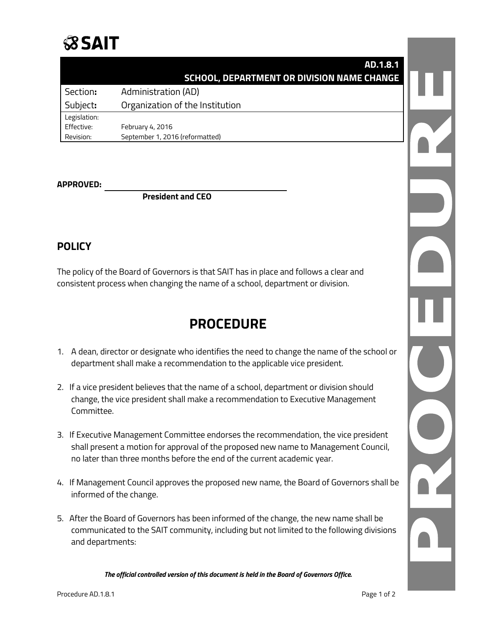

|              | AD.1.8.1                                          |  |
|--------------|---------------------------------------------------|--|
|              | <b>SCHOOL, DEPARTMENT OR DIVISION NAME CHANGE</b> |  |
| Section:     | <b>Administration (AD)</b>                        |  |
| Subject:     | Organization of the Institution                   |  |
| Legislation: |                                                   |  |
| Effective:   | February 4, 2016                                  |  |
| Revision:    | September 1, 2016 (reformatted)                   |  |

## **APPROVED:**

**President and CEO**

## **POLICY**

The policy of the Board of Governors is that SAIT has in place and follows a clear and consistent process when changing the name of a school, department or division.

## **PROCEDURE**

- 1. A dean, director or designate who identifies the need to change the name of the school or department shall make a recommendation to the applicable vice president.
- 2. If a vice president believes that the name of a school, department or division should change, the vice president shall make a recommendation to Executive Management Committee.
- 3. If Executive Management Committee endorses the recommendation, the vice president shall present a motion for approval of the proposed new name to Management Council, no later than three months before the end of the current academic year.
- 4. If Management Council approves the proposed new name, the Board of Governors shall be informed of the change.
- 5. After the Board of Governors has been informed of the change, the new name shall be communicated to the SAIT community, including but not limited to the following divisions and departments:

*The official controlled version of this document is held in the Board of Governors Office.*